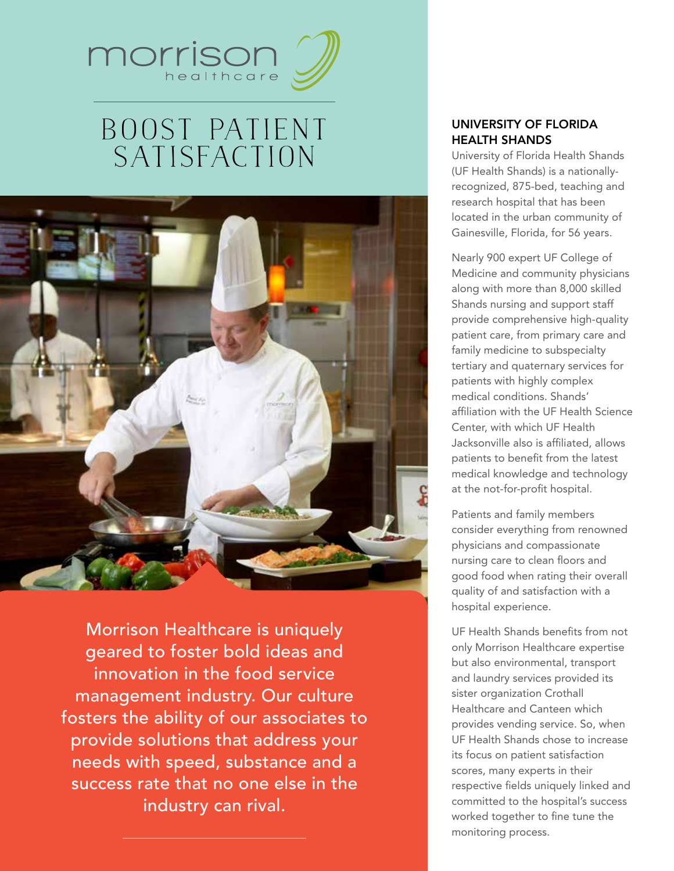

# Boost Patient **SATISFACTION**



Morrison Healthcare is uniquely geared to foster bold ideas and innovation in the food service management industry. Our culture fosters the ability of our associates to provide solutions that address your needs with speed, substance and a success rate that no one else in the industry can rival.

## University of Florida Health Shands

University of Florida Health Shands (UF Health Shands) is a nationallyrecognized, 875-bed, teaching and research hospital that has been located in the urban community of Gainesville, Florida, for 56 years.

Nearly 900 expert UF College of Medicine and community physicians along with more than 8,000 skilled Shands nursing and support staff provide comprehensive high-quality patient care, from primary care and family medicine to subspecialty tertiary and quaternary services for patients with highly complex medical conditions. Shands' affiliation with the UF Health Science Center, with which UF Health Jacksonville also is affiliated, allows patients to benefit from the latest medical knowledge and technology at the not-for-profit hospital.

Patients and family members consider everything from renowned physicians and compassionate nursing care to clean floors and good food when rating their overall quality of and satisfaction with a hospital experience.

UF Health Shands benefits from not only Morrison Healthcare expertise but also environmental, transport and laundry services provided its sister organization Crothall Healthcare and Canteen which provides vending service. So, when UF Health Shands chose to increase its focus on patient satisfaction scores, many experts in their respective fields uniquely linked and committed to the hospital's success worked together to fine tune the monitoring process.